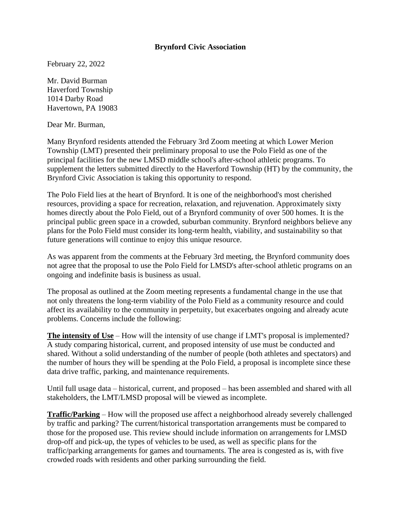## **Brynford Civic Association**

February 22, 2022

Mr. David Burman Haverford Township 1014 Darby Road Havertown, PA 19083

Dear Mr. Burman,

Many Brynford residents attended the February 3rd Zoom meeting at which Lower Merion Township (LMT) presented their preliminary proposal to use the Polo Field as one of the principal facilities for the new LMSD middle school's after-school athletic programs. To supplement the letters submitted directly to the Haverford Township (HT) by the community, the Brynford Civic Association is taking this opportunity to respond.

The Polo Field lies at the heart of Brynford. It is one of the neighborhood's most cherished resources, providing a space for recreation, relaxation, and rejuvenation. Approximately sixty homes directly about the Polo Field, out of a Brynford community of over 500 homes. It is the principal public green space in a crowded, suburban community. Brynford neighbors believe any plans for the Polo Field must consider its long-term health, viability, and sustainability so that future generations will continue to enjoy this unique resource.

As was apparent from the comments at the February 3rd meeting, the Brynford community does not agree that the proposal to use the Polo Field for LMSD's after-school athletic programs on an ongoing and indefinite basis is business as usual.

The proposal as outlined at the Zoom meeting represents a fundamental change in the use that not only threatens the long-term viability of the Polo Field as a community resource and could affect its availability to the community in perpetuity, but exacerbates ongoing and already acute problems. Concerns include the following:

**The intensity of Use** – How will the intensity of use change if LMT's proposal is implemented? A study comparing historical, current, and proposed intensity of use must be conducted and shared. Without a solid understanding of the number of people (both athletes and spectators) and the number of hours they will be spending at the Polo Field, a proposal is incomplete since these data drive traffic, parking, and maintenance requirements.

Until full usage data – historical, current, and proposed – has been assembled and shared with all stakeholders, the LMT/LMSD proposal will be viewed as incomplete.

**Traffic/Parking** – How will the proposed use affect a neighborhood already severely challenged by traffic and parking? The current/historical transportation arrangements must be compared to those for the proposed use. This review should include information on arrangements for LMSD drop-off and pick-up, the types of vehicles to be used, as well as specific plans for the traffic/parking arrangements for games and tournaments. The area is congested as is, with five crowded roads with residents and other parking surrounding the field.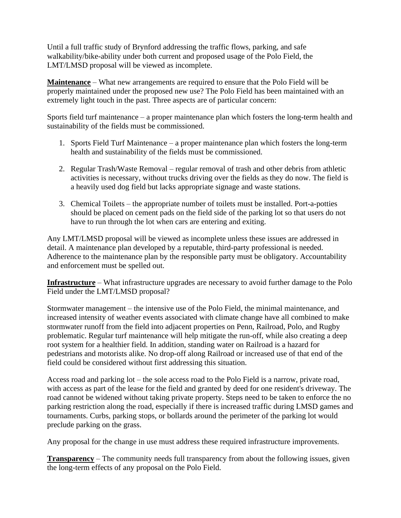Until a full traffic study of Brynford addressing the traffic flows, parking, and safe walkability/bike-ability under both current and proposed usage of the Polo Field, the LMT/LMSD proposal will be viewed as incomplete.

**Maintenance** – What new arrangements are required to ensure that the Polo Field will be properly maintained under the proposed new use? The Polo Field has been maintained with an extremely light touch in the past. Three aspects are of particular concern:

Sports field turf maintenance – a proper maintenance plan which fosters the long-term health and sustainability of the fields must be commissioned.

- 1. Sports Field Turf Maintenance a proper maintenance plan which fosters the long-term health and sustainability of the fields must be commissioned.
- 2. Regular Trash/Waste Removal regular removal of trash and other debris from athletic activities is necessary, without trucks driving over the fields as they do now. The field is a heavily used dog field but lacks appropriate signage and waste stations.
- 3. Chemical Toilets the appropriate number of toilets must be installed. Port-a-potties should be placed on cement pads on the field side of the parking lot so that users do not have to run through the lot when cars are entering and exiting.

Any LMT/LMSD proposal will be viewed as incomplete unless these issues are addressed in detail. A maintenance plan developed by a reputable, third-party professional is needed. Adherence to the maintenance plan by the responsible party must be obligatory. Accountability and enforcement must be spelled out.

**Infrastructure** – What infrastructure upgrades are necessary to avoid further damage to the Polo Field under the LMT/LMSD proposal?

Stormwater management – the intensive use of the Polo Field, the minimal maintenance, and increased intensity of weather events associated with climate change have all combined to make stormwater runoff from the field into adjacent properties on Penn, Railroad, Polo, and Rugby problematic. Regular turf maintenance will help mitigate the run-off, while also creating a deep root system for a healthier field. In addition, standing water on Railroad is a hazard for pedestrians and motorists alike. No drop-off along Railroad or increased use of that end of the field could be considered without first addressing this situation.

Access road and parking lot – the sole access road to the Polo Field is a narrow, private road, with access as part of the lease for the field and granted by deed for one resident's driveway. The road cannot be widened without taking private property. Steps need to be taken to enforce the no parking restriction along the road, especially if there is increased traffic during LMSD games and tournaments. Curbs, parking stops, or bollards around the perimeter of the parking lot would preclude parking on the grass.

Any proposal for the change in use must address these required infrastructure improvements.

**Transparency** – The community needs full transparency from about the following issues, given the long-term effects of any proposal on the Polo Field.